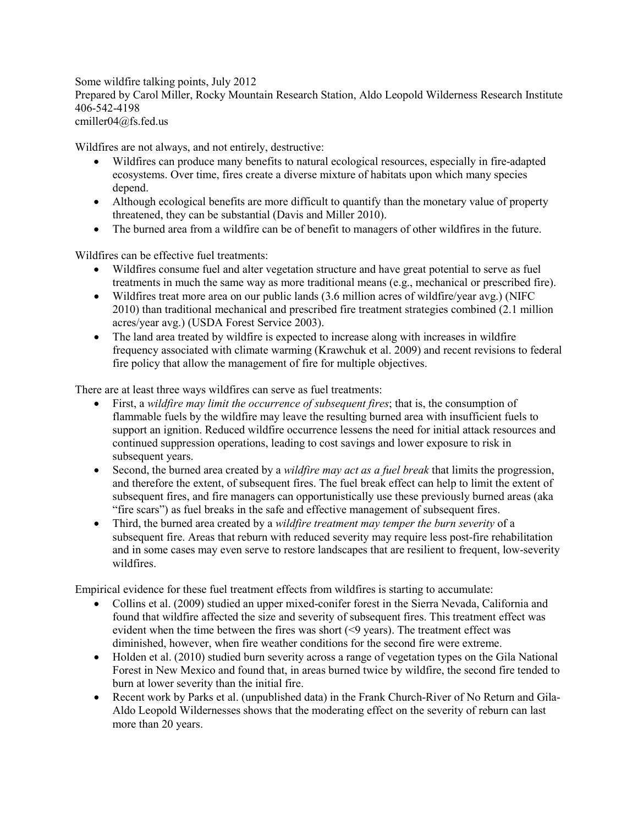Some wildfire talking points, July 2012 Prepared by Carol Miller, Rocky Mountain Research Station, Aldo Leopold Wilderness Research Institute 406-542-4198 cmiller04@fs.fed.us

Wildfires are not always, and not entirely, destructive:

- Wildfires can produce many benefits to natural ecological resources, especially in fire-adapted ecosystems. Over time, fires create a diverse mixture of habitats upon which many species depend.
- Although ecological benefits are more difficult to quantify than the monetary value of property threatened, they can be substantial (Davis and Miller 2010).
- The burned area from a wildfire can be of benefit to managers of other wildfires in the future.

Wildfires can be effective fuel treatments:

- Wildfires consume fuel and alter vegetation structure and have great potential to serve as fuel treatments in much the same way as more traditional means (e.g., mechanical or prescribed fire).
- Wildfires treat more area on our public lands (3.6 million acres of wildfire/year avg.) (NIFC 2010) than traditional mechanical and prescribed fire treatment strategies combined (2.1 million acres/year avg.) (USDA Forest Service 2003).
- The land area treated by wildfire is expected to increase along with increases in wildfire frequency associated with climate warming (Krawchuk et al. 2009) and recent revisions to federal fire policy that allow the management of fire for multiple objectives.

There are at least three ways wildfires can serve as fuel treatments:

- First, a *wildfire may limit the occurrence of subsequent fires*; that is, the consumption of flammable fuels by the wildfire may leave the resulting burned area with insufficient fuels to support an ignition. Reduced wildfire occurrence lessens the need for initial attack resources and continued suppression operations, leading to cost savings and lower exposure to risk in subsequent years.
- Second, the burned area created by a *wildfire may act as a fuel break* that limits the progression, and therefore the extent, of subsequent fires. The fuel break effect can help to limit the extent of subsequent fires, and fire managers can opportunistically use these previously burned areas (aka "fire scars") as fuel breaks in the safe and effective management of subsequent fires.
- Third, the burned area created by a *wildfire treatment may temper the burn severity* of a subsequent fire. Areas that reburn with reduced severity may require less post-fire rehabilitation and in some cases may even serve to restore landscapes that are resilient to frequent, low-severity wildfires.

Empirical evidence for these fuel treatment effects from wildfires is starting to accumulate:

- Collins et al. (2009) studied an upper mixed-conifer forest in the Sierra Nevada, California and found that wildfire affected the size and severity of subsequent fires. This treatment effect was evident when the time between the fires was short (<9 years). The treatment effect was diminished, however, when fire weather conditions for the second fire were extreme.
- Holden et al. (2010) studied burn severity across a range of vegetation types on the Gila National Forest in New Mexico and found that, in areas burned twice by wildfire, the second fire tended to burn at lower severity than the initial fire.
- Recent work by Parks et al. (unpublished data) in the Frank Church-River of No Return and Gila-Aldo Leopold Wildernesses shows that the moderating effect on the severity of reburn can last more than 20 years.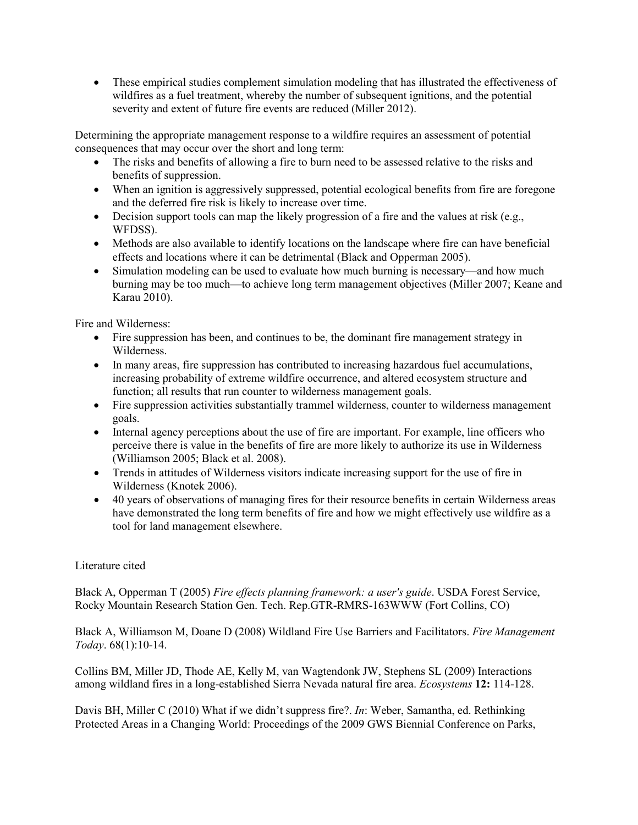• These empirical studies complement simulation modeling that has illustrated the effectiveness of wildfires as a fuel treatment, whereby the number of subsequent ignitions, and the potential severity and extent of future fire events are reduced (Miller 2012).

Determining the appropriate management response to a wildfire requires an assessment of potential consequences that may occur over the short and long term:

- The risks and benefits of allowing a fire to burn need to be assessed relative to the risks and benefits of suppression.
- When an ignition is aggressively suppressed, potential ecological benefits from fire are foregone and the deferred fire risk is likely to increase over time.
- Decision support tools can map the likely progression of a fire and the values at risk (e.g., WFDSS).
- Methods are also available to identify locations on the landscape where fire can have beneficial effects and locations where it can be detrimental (Black and Opperman 2005).
- Simulation modeling can be used to evaluate how much burning is necessary—and how much burning may be too much—to achieve long term management objectives (Miller 2007; Keane and Karau 2010).

Fire and Wilderness:

- Fire suppression has been, and continues to be, the dominant fire management strategy in Wilderness.
- In many areas, fire suppression has contributed to increasing hazardous fuel accumulations, increasing probability of extreme wildfire occurrence, and altered ecosystem structure and function; all results that run counter to wilderness management goals.
- Fire suppression activities substantially trammel wilderness, counter to wilderness management goals.
- Internal agency perceptions about the use of fire are important. For example, line officers who perceive there is value in the benefits of fire are more likely to authorize its use in Wilderness (Williamson 2005; Black et al. 2008).
- Trends in attitudes of Wilderness visitors indicate increasing support for the use of fire in Wilderness (Knotek 2006).
- 40 years of observations of managing fires for their resource benefits in certain Wilderness areas have demonstrated the long term benefits of fire and how we might effectively use wildfire as a tool for land management elsewhere.

## Literature cited

Black A, Opperman T (2005) *Fire effects planning framework: a user's guide*. USDA Forest Service, Rocky Mountain Research Station Gen. Tech. Rep.GTR-RMRS-163WWW (Fort Collins, CO)

Black A, Williamson M, Doane D (2008) Wildland Fire Use Barriers and Facilitators. *Fire Management Today*. 68(1):10-14.

Collins BM, Miller JD, Thode AE, Kelly M, van Wagtendonk JW, Stephens SL (2009) Interactions among wildland fires in a long-established Sierra Nevada natural fire area. *Ecosystems* **12:** 114-128.

Davis BH, Miller C (2010) What if we didn't suppress fire?. *In*: Weber, Samantha, ed. Rethinking Protected Areas in a Changing World: Proceedings of the 2009 GWS Biennial Conference on Parks,